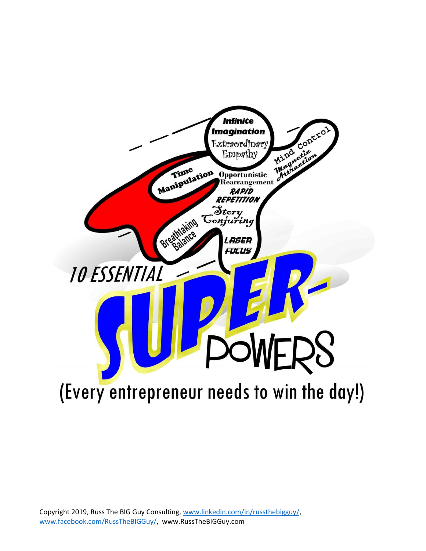

Copyright 2019, Russ The BIG Guy Consulting, [www.linkedin.com/in/russthebigguy/,](http://www.linkedin.com/in/russthebigguy/) [www.facebook.com/RussTheBIGGuy/,](http://www.facebook.com/RussTheBIGGuy/) www.RussTheBIGGuy.com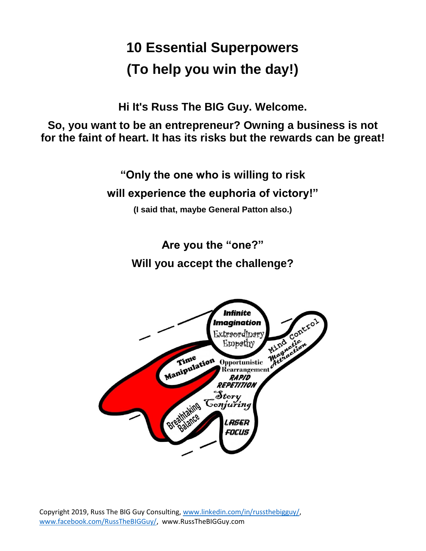# **10 Essential Superpowers (To help you win the day!)**

**Hi It's Russ The BIG Guy. Welcome.**

**So, you want to be an entrepreneur? Owning a business is not for the faint of heart. It has its risks but the rewards can be great!**

> **"Only the one who is willing to risk will experience the euphoria of victory!"**

> > **(I said that, maybe General Patton also.)**

**Are you the "one?" Will you accept the challenge?**

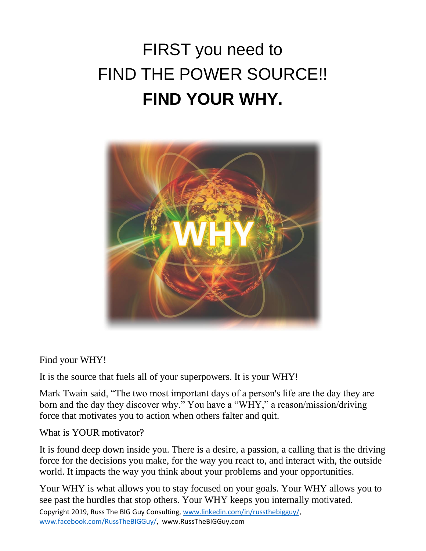# FIRST you need to FIND THE POWER SOURCE!! **FIND YOUR WHY.**



Find your WHY!

It is the source that fuels all of your superpowers. It is your WHY!

Mark Twain said, "The two most important days of a person's life are the day they are born and the day they discover why." You have a "WHY," a reason/mission/driving force that motivates you to action when others falter and quit.

What is YOUR motivator?

It is found deep down inside you. There is a desire, a passion, a calling that is the driving force for the decisions you make, for the way you react to, and interact with, the outside world. It impacts the way you think about your problems and your opportunities.

Your WHY is what allows you to stay focused on your goals. Your WHY allows you to see past the hurdles that stop others. Your WHY keeps you internally motivated.

Copyright 2019, Russ The BIG Guy Consulting, [www.linkedin.com/in/russthebigguy/,](http://www.linkedin.com/in/russthebigguy/) [www.facebook.com/RussTheBIGGuy/,](http://www.facebook.com/RussTheBIGGuy/) www.RussTheBIGGuy.com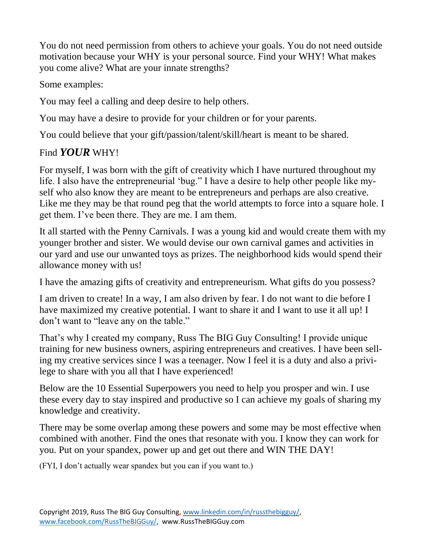You do not need permission from others to achieve your goals. You do not need outside motivation because your WHY is your personal source. Find your WHY! What makes you come alive? What are your innate strengths?

Some examples:

You may feel a calling and deep desire to help others.

You may have a desire to provide for your children or for your parents.

You could believe that your gift/passion/talent/skill/heart is meant to be shared.

#### Find *YOUR* WHY!

For myself, I was born with the gift of creativity which I have nurtured throughout my life. I also have the entrepreneurial 'bug." I have a desire to help other people like myself who also know they are meant to be entrepreneurs and perhaps are also creative. Like me they may be that round peg that the world attempts to force into a square hole. I get them. I've been there. They are me. I am them.

It all started with the Penny Carnivals. I was a young kid and would create them with my younger brother and sister. We would devise our own carnival games and activities in our yard and use our unwanted toys as prizes. The neighborhood kids would spend their allowance money with us!

I have the amazing gifts of creativity and entrepreneurism. What gifts do you possess?

I am driven to create! In a way, I am also driven by fear. I do not want to die before I have maximized my creative potential. I want to share it and I want to use it all up! I don't want to "leave any on the table."

That's why I created my company, Russ The BIG Guy Consulting! I provide unique training for new business owners, aspiring entrepreneurs and creatives. I have been selling my creative services since I was a teenager. Now I feel it is a duty and also a privilege to share with you all that I have experienced!

Below are the 10 Essential Superpowers you need to help you prosper and win. I use these every day to stay inspired and productive so I can achieve my goals of sharing my knowledge and creativity.

There may be some overlap among these powers and some may be most effective when combined with another. Find the ones that resonate with you. I know they can work for you. Put on your spandex, power up and get out there and WIN THE DAY!

(FYI, I don't actually wear spandex but you can if you want to.)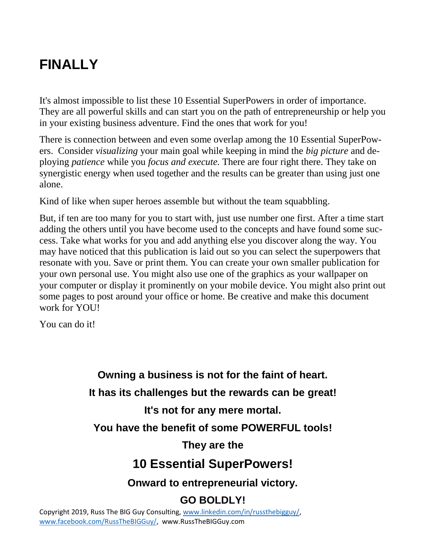## **FINALLY**

It's almost impossible to list these 10 Essential SuperPowers in order of importance. They are all powerful skills and can start you on the path of entrepreneurship or help you in your existing business adventure. Find the ones that work for you!

There is connection between and even some overlap among the 10 Essential SuperPowers. Consider *visualizing* your main goal while keeping in mind the *big picture* and deploying *patience* while you *focus and execute.* There are four right there. They take on synergistic energy when used together and the results can be greater than using just one alone.

Kind of like when super heroes assemble but without the team squabbling.

But, if ten are too many for you to start with, just use number one first. After a time start adding the others until you have become used to the concepts and have found some success. Take what works for you and add anything else you discover along the way. You may have noticed that this publication is laid out so you can select the superpowers that resonate with you. Save or print them. You can create your own smaller publication for your own personal use. You might also use one of the graphics as your wallpaper on your computer or display it prominently on your mobile device. You might also print out some pages to post around your office or home. Be creative and make this document work for YOU!

You can do it!

**Owning a business is not for the faint of heart. It has its challenges but the rewards can be great! It's not for any mere mortal. You have the benefit of some POWERFUL tools! They are the 10 Essential SuperPowers! Onward to entrepreneurial victory.**

#### **GO BOLDLY!**

Copyright 2019, Russ The BIG Guy Consulting, [www.linkedin.com/in/russthebigguy/,](http://www.linkedin.com/in/russthebigguy/) [www.facebook.com/RussTheBIGGuy/,](http://www.facebook.com/RussTheBIGGuy/) www.RussTheBIGGuy.com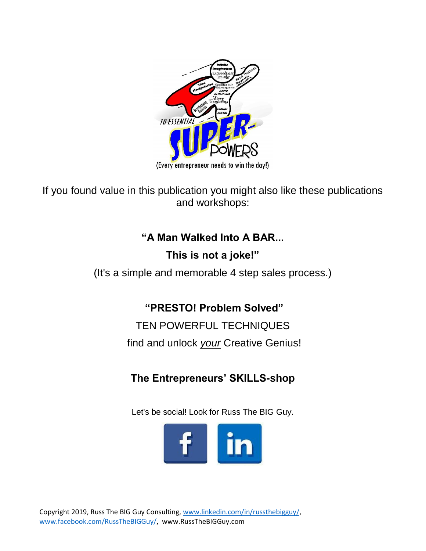

If you found value in this publication you might also like these publications and workshops:

### **"A Man Walked Into A BAR...**

### **This is not a joke!"**

(It's a simple and memorable 4 step sales process.)

**"PRESTO! Problem Solved"**

TEN POWERFUL TECHNIQUES find and unlock *your* Creative Genius!

**The Entrepreneurs' SKILLS-shop**

Let's be social! Look for Russ The BIG Guy.

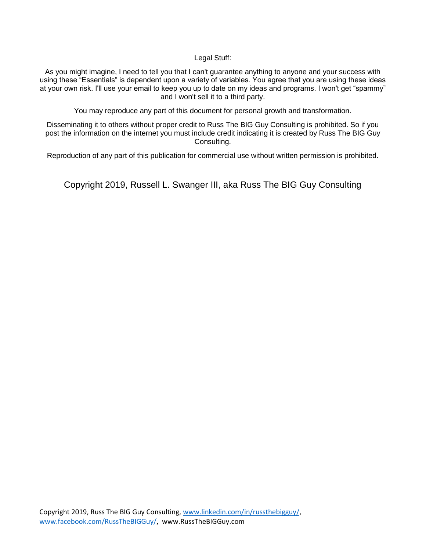Legal Stuff:

As you might imagine, I need to tell you that I can't guarantee anything to anyone and your success with using these "Essentials" is dependent upon a variety of variables. You agree that you are using these ideas at your own risk. I'll use your email to keep you up to date on my ideas and programs. I won't get "spammy" and I won't sell it to a third party.

You may reproduce any part of this document for personal growth and transformation.

Disseminating it to others without proper credit to Russ The BIG Guy Consulting is prohibited. So if you post the information on the internet you must include credit indicating it is created by Russ The BIG Guy Consulting.

Reproduction of any part of this publication for commercial use without written permission is prohibited.

Copyright 2019, Russell L. Swanger III, aka Russ The BIG Guy Consulting